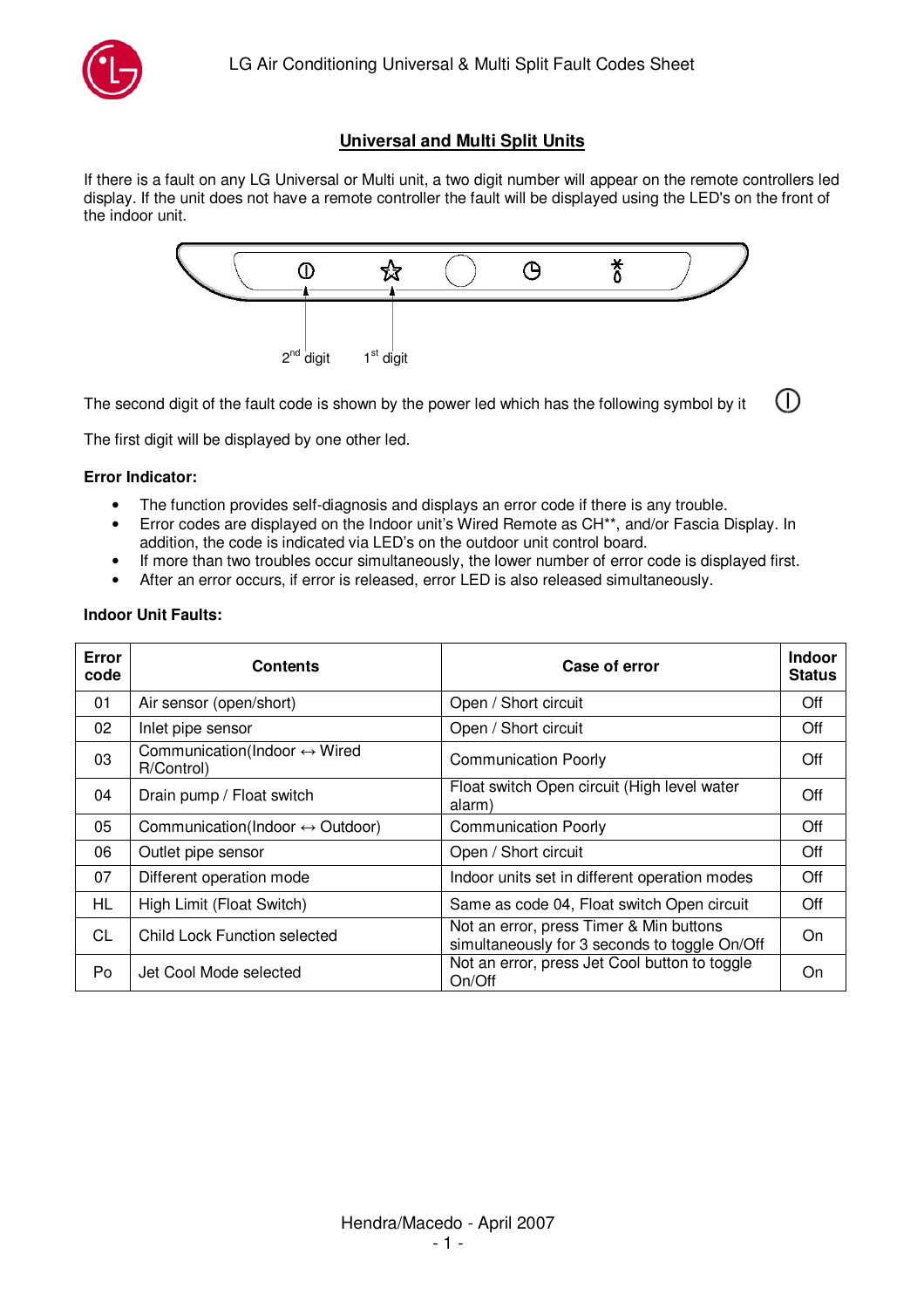

## **Universal and Multi Split Units**

If there is a fault on any LG Universal or Multi unit, a two digit number will appear on the remote controllers led display. If the unit does not have a remote controller the fault will be displayed using the LED's on the front of the indoor unit.



∩ The second digit of the fault code is shown by the power led which has the following symbol by it

The first digit will be displayed by one other led.

## **Error Indicator:**

- The function provides self-diagnosis and displays an error code if there is any trouble.
- Error codes are displayed on the Indoor unit's Wired Remote as CH\*\*, and/or Fascia Display. In addition, the code is indicated via LED's on the outdoor unit control board.
- If more than two troubles occur simultaneously, the lower number of error code is displayed first.
- After an error occurs, if error is released, error LED is also released simultaneously.

| <b>Error</b><br>code | <b>Contents</b>                                            | Case of error                                                                            | <b>Indoor</b><br><b>Status</b> |  |
|----------------------|------------------------------------------------------------|------------------------------------------------------------------------------------------|--------------------------------|--|
| 01                   | Air sensor (open/short)                                    | Open / Short circuit                                                                     | Off                            |  |
| 02                   | Inlet pipe sensor                                          | Open / Short circuit                                                                     | Off                            |  |
| 03                   | Communication(Indoor $\leftrightarrow$ Wired<br>R/Control) | <b>Communication Poorly</b>                                                              | Off                            |  |
| 04                   | Drain pump / Float switch                                  | Float switch Open circuit (High level water<br>alarm)                                    | Off                            |  |
| 05                   | Communication(Indoor $\leftrightarrow$ Outdoor)            | <b>Communication Poorly</b>                                                              | Off                            |  |
| 06                   | Outlet pipe sensor                                         | Open / Short circuit                                                                     | Off                            |  |
| 07                   | Different operation mode                                   | Indoor units set in different operation modes                                            | Off                            |  |
| HL                   | High Limit (Float Switch)                                  | Same as code 04, Float switch Open circuit                                               | Off                            |  |
| CL                   | Child Lock Function selected                               | Not an error, press Timer & Min buttons<br>simultaneously for 3 seconds to toggle On/Off | On                             |  |
| Po                   | Jet Cool Mode selected                                     | Not an error, press Jet Cool button to toggle<br>On/Off                                  |                                |  |

## **Indoor Unit Faults:**